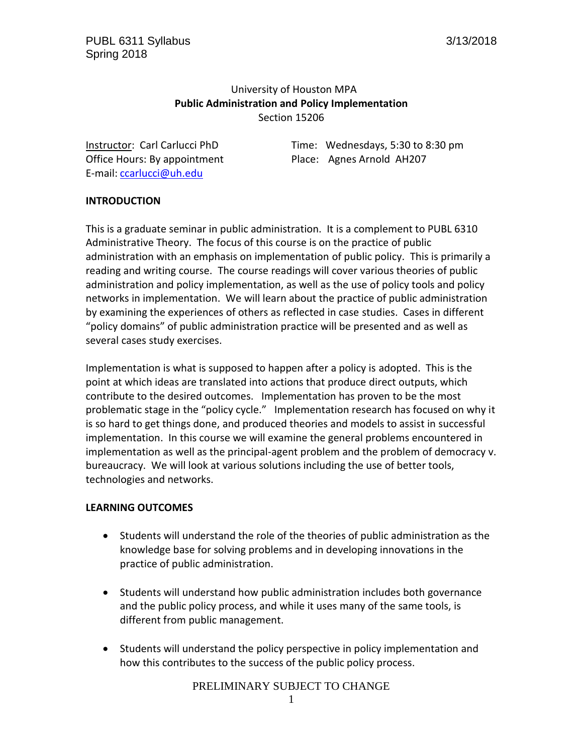# University of Houston MPA **Public Administration and Policy Implementation** Section 15206

Office Hours: By appointment Place: Agnes Arnold AH207 E-mail: [ccarlucci@uh.edu](mailto:ccarlucci@uh.edu)

Instructor: Carl Carlucci PhD Time: Wednesdays, 5:30 to 8:30 pm

# **INTRODUCTION**

This is a graduate seminar in public administration. It is a complement to PUBL 6310 Administrative Theory. The focus of this course is on the practice of public administration with an emphasis on implementation of public policy. This is primarily a reading and writing course. The course readings will cover various theories of public administration and policy implementation, as well as the use of policy tools and policy networks in implementation. We will learn about the practice of public administration by examining the experiences of others as reflected in case studies. Cases in different "policy domains" of public administration practice will be presented and as well as several cases study exercises.

Implementation is what is supposed to happen after a policy is adopted. This is the point at which ideas are translated into actions that produce direct outputs, which contribute to the desired outcomes. Implementation has proven to be the most problematic stage in the "policy cycle." Implementation research has focused on why it is so hard to get things done, and produced theories and models to assist in successful implementation. In this course we will examine the general problems encountered in implementation as well as the principal-agent problem and the problem of democracy v. bureaucracy. We will look at various solutions including the use of better tools, technologies and networks.

### **LEARNING OUTCOMES**

- Students will understand the role of the theories of public administration as the knowledge base for solving problems and in developing innovations in the practice of public administration.
- Students will understand how public administration includes both governance and the public policy process, and while it uses many of the same tools, is different from public management.
- Students will understand the policy perspective in policy implementation and how this contributes to the success of the public policy process.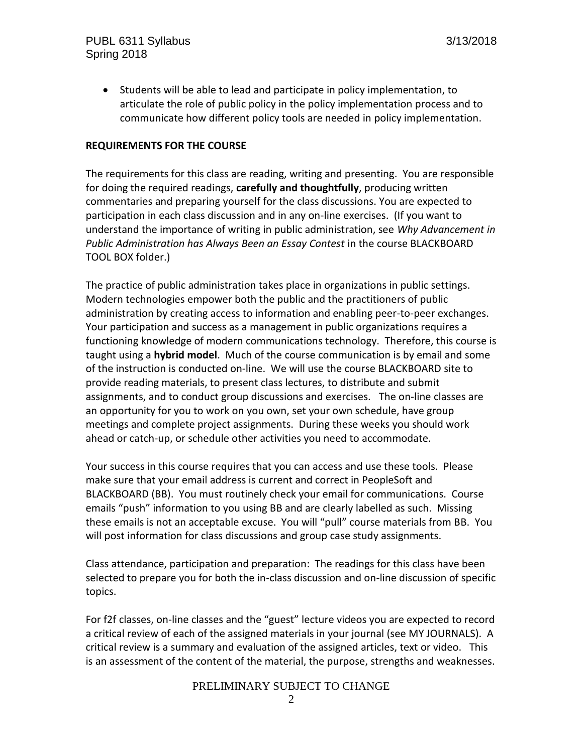Students will be able to lead and participate in policy implementation, to articulate the role of public policy in the policy implementation process and to communicate how different policy tools are needed in policy implementation.

#### **REQUIREMENTS FOR THE COURSE**

The requirements for this class are reading, writing and presenting. You are responsible for doing the required readings, **carefully and thoughtfully**, producing written commentaries and preparing yourself for the class discussions. You are expected to participation in each class discussion and in any on-line exercises. (If you want to understand the importance of writing in public administration, see *Why Advancement in Public Administration has Always Been an Essay Contest* in the course BLACKBOARD TOOL BOX folder.)

The practice of public administration takes place in organizations in public settings. Modern technologies empower both the public and the practitioners of public administration by creating access to information and enabling peer-to-peer exchanges. Your participation and success as a management in public organizations requires a functioning knowledge of modern communications technology. Therefore, this course is taught using a **hybrid model**. Much of the course communication is by email and some of the instruction is conducted on-line. We will use the course BLACKBOARD site to provide reading materials, to present class lectures, to distribute and submit assignments, and to conduct group discussions and exercises. The on-line classes are an opportunity for you to work on you own, set your own schedule, have group meetings and complete project assignments. During these weeks you should work ahead or catch-up, or schedule other activities you need to accommodate.

Your success in this course requires that you can access and use these tools. Please make sure that your email address is current and correct in PeopleSoft and BLACKBOARD (BB). You must routinely check your email for communications. Course emails "push" information to you using BB and are clearly labelled as such. Missing these emails is not an acceptable excuse. You will "pull" course materials from BB. You will post information for class discussions and group case study assignments.

Class attendance, participation and preparation: The readings for this class have been selected to prepare you for both the in-class discussion and on-line discussion of specific topics.

For f2f classes, on-line classes and the "guest" lecture videos you are expected to record a critical review of each of the assigned materials in your journal (see MY JOURNALS). A critical review is a summary and evaluation of the assigned articles, text or video. This is an assessment of the content of the material, the purpose, strengths and weaknesses.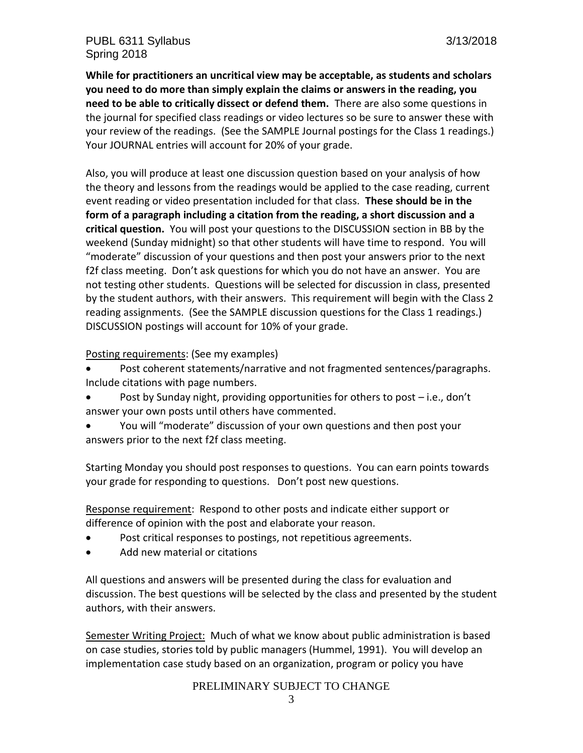**While for practitioners an uncritical view may be acceptable, as students and scholars you need to do more than simply explain the claims or answers in the reading, you need to be able to critically dissect or defend them.** There are also some questions in the journal for specified class readings or video lectures so be sure to answer these with your review of the readings. (See the SAMPLE Journal postings for the Class 1 readings.) Your JOURNAL entries will account for 20% of your grade.

Also, you will produce at least one discussion question based on your analysis of how the theory and lessons from the readings would be applied to the case reading, current event reading or video presentation included for that class. **These should be in the form of a paragraph including a citation from the reading, a short discussion and a critical question.** You will post your questions to the DISCUSSION section in BB by the weekend (Sunday midnight) so that other students will have time to respond. You will "moderate" discussion of your questions and then post your answers prior to the next f2f class meeting. Don't ask questions for which you do not have an answer. You are not testing other students. Questions will be selected for discussion in class, presented by the student authors, with their answers. This requirement will begin with the Class 2 reading assignments. (See the SAMPLE discussion questions for the Class 1 readings.) DISCUSSION postings will account for 10% of your grade.

Posting requirements: (See my examples)

- Post coherent statements/narrative and not fragmented sentences/paragraphs. Include citations with page numbers.
- Post by Sunday night, providing opportunities for others to post i.e., don't answer your own posts until others have commented.
- You will "moderate" discussion of your own questions and then post your answers prior to the next f2f class meeting.

Starting Monday you should post responses to questions. You can earn points towards your grade for responding to questions. Don't post new questions.

Response requirement: Respond to other posts and indicate either support or difference of opinion with the post and elaborate your reason*.*

- Post critical responses to postings, not repetitious agreements.
- Add new material or citations

All questions and answers will be presented during the class for evaluation and discussion. The best questions will be selected by the class and presented by the student authors, with their answers.

Semester Writing Project: Much of what we know about public administration is based on case studies, stories told by public managers (Hummel, 1991). You will develop an implementation case study based on an organization, program or policy you have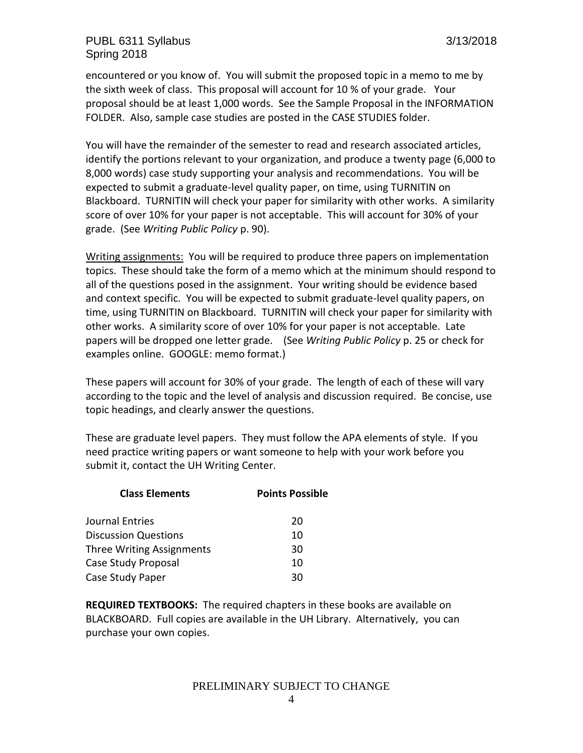encountered or you know of. You will submit the proposed topic in a memo to me by the sixth week of class. This proposal will account for 10 % of your grade. Your proposal should be at least 1,000 words. See the Sample Proposal in the INFORMATION FOLDER. Also, sample case studies are posted in the CASE STUDIES folder.

You will have the remainder of the semester to read and research associated articles, identify the portions relevant to your organization, and produce a twenty page (6,000 to 8,000 words) case study supporting your analysis and recommendations. You will be expected to submit a graduate-level quality paper, on time, using TURNITIN on Blackboard. TURNITIN will check your paper for similarity with other works. A similarity score of over 10% for your paper is not acceptable. This will account for 30% of your grade. (See *Writing Public Policy* p. 90).

Writing assignments: You will be required to produce three papers on implementation topics. These should take the form of a memo which at the minimum should respond to all of the questions posed in the assignment. Your writing should be evidence based and context specific. You will be expected to submit graduate-level quality papers, on time, using TURNITIN on Blackboard. TURNITIN will check your paper for similarity with other works. A similarity score of over 10% for your paper is not acceptable. Late papers will be dropped one letter grade. (See *Writing Public Policy* p. 25 or check for examples online. GOOGLE: memo format.)

These papers will account for 30% of your grade. The length of each of these will vary according to the topic and the level of analysis and discussion required. Be concise, use topic headings, and clearly answer the questions.

These are graduate level papers. They must follow the APA elements of style. If you need practice writing papers or want someone to help with your work before you submit it, contact the UH Writing Center.

| <b>Class Elements</b>            | <b>Points Possible</b> |
|----------------------------------|------------------------|
| Journal Entries                  | 20                     |
| <b>Discussion Questions</b>      | 10                     |
| <b>Three Writing Assignments</b> | 30                     |
| Case Study Proposal              | 10                     |
| Case Study Paper                 | 30                     |

**REQUIRED TEXTBOOKS:** The required chapters in these books are available on BLACKBOARD. Full copies are available in the UH Library. Alternatively, you can purchase your own copies.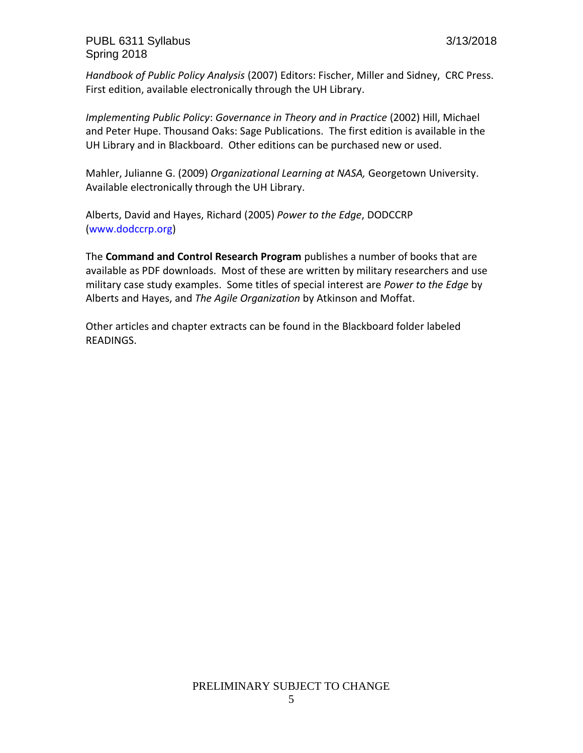*Handbook of Public Policy Analysis* (2007) Editors: Fischer, Miller and Sidney, CRC Press. First edition, available electronically through the UH Library.

*Implementing Public Policy*: *Governance in Theory and in Practice* (2002) Hill, Michael and Peter Hupe. Thousand Oaks: Sage Publications. The first edition is available in the UH Library and in Blackboard. Other editions can be purchased new or used.

Mahler, Julianne G. (2009) *Organizational Learning at NASA,* Georgetown University. Available electronically through the UH Library.

Alberts, David and Hayes, Richard (2005) *Power to the Edge*, DODCCRP [\(www.dodccrp.org\)](http://www.dodccrp.org/)

The **Command and Control Research Program** publishes a number of books that are available as PDF downloads. Most of these are written by military researchers and use military case study examples. Some titles of special interest are *Power to the Edge* by Alberts and Hayes, and *The Agile Organization* by Atkinson and Moffat.

Other articles and chapter extracts can be found in the Blackboard folder labeled READINGS.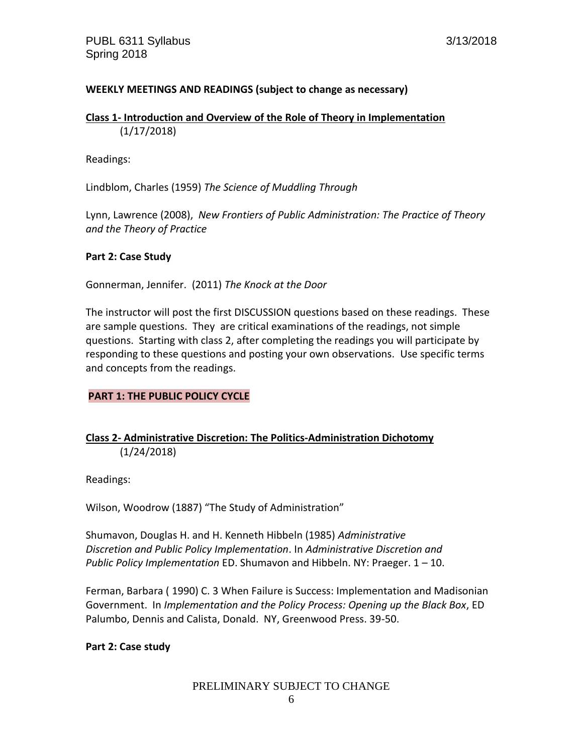## **WEEKLY MEETINGS AND READINGS (subject to change as necessary)**

#### **Class 1- Introduction and Overview of the Role of Theory in Implementation** (1/17/2018)

Readings:

Lindblom, Charles (1959) *The Science of Muddling Through*

Lynn, Lawrence (2008), *New Frontiers of Public Administration: The Practice of Theory and the Theory of Practice*

#### **Part 2: Case Study**

Gonnerman, Jennifer. (2011) *The Knock at the Door*

The instructor will post the first DISCUSSION questions based on these readings. These are sample questions. They are critical examinations of the readings, not simple questions. Starting with class 2, after completing the readings you will participate by responding to these questions and posting your own observations. Use specific terms and concepts from the readings.

### **PART 1: THE PUBLIC POLICY CYCLE**

# **Class 2- Administrative Discretion: The Politics-Administration Dichotomy** (1/24/2018)

Readings:

Wilson, Woodrow (1887) "The Study of Administration"

Shumavon, Douglas H. and H. Kenneth Hibbeln (1985) *Administrative Discretion and Public Policy Implementation*. In *Administrative Discretion and Public Policy Implementation* ED. Shumavon and Hibbeln. NY: Praeger. 1 – 10.

Ferman, Barbara ( 1990) C. 3 When Failure is Success: Implementation and Madisonian Government. In *Implementation and the Policy Process: Opening up the Black Box*, ED Palumbo, Dennis and Calista, Donald. NY, Greenwood Press. 39-50.

#### **Part 2: Case study**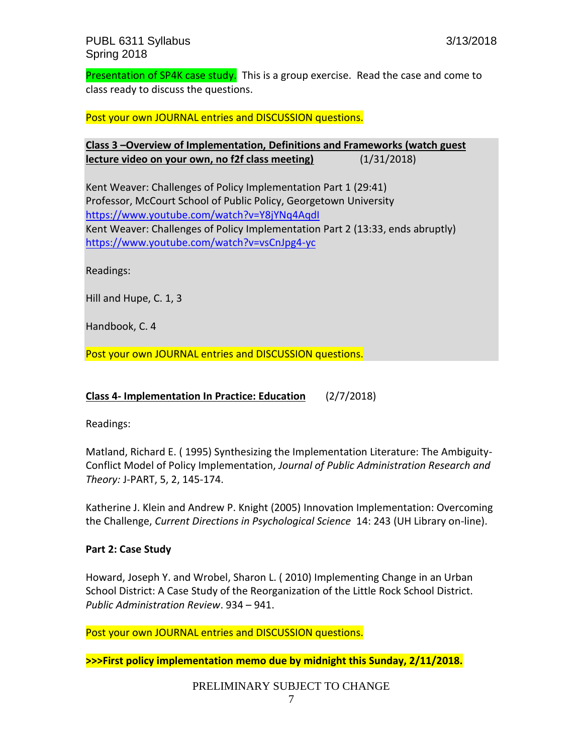Presentation of SP4K case study. This is a group exercise. Read the case and come to class ready to discuss the questions.

Post your own JOURNAL entries and DISCUSSION questions.

**Class 3 –Overview of Implementation, Definitions and Frameworks (watch guest lecture video on your own, no f2f class meeting)** (1/31/2018)

Kent Weaver: Challenges of Policy Implementation Part 1 (29:41) Professor, McCourt School of Public Policy, Georgetown University <https://www.youtube.com/watch?v=Y8jYNq4AqdI> Kent Weaver: Challenges of Policy Implementation Part 2 (13:33, ends abruptly) <https://www.youtube.com/watch?v=vsCnJpg4-yc>

Readings:

Hill and Hupe, C. 1, 3

Handbook, C. 4

Post your own JOURNAL entries and DISCUSSION questions.

### **Class 4- Implementation In Practice: Education** (2/7/2018)

Readings:

Matland, Richard E. ( 1995) Synthesizing the Implementation Literature: The Ambiguity-Conflict Model of Policy Implementation, *Journal of Public Administration Research and Theory:* J-PART, 5, 2, 145-174.

Katherine J. Klein and Andrew P. Knight (2005) Innovation Implementation: Overcoming the Challenge, *Current Directions in Psychological Science* 14: 243 (UH Library on-line).

### **Part 2: Case Study**

Howard, Joseph Y. and Wrobel, Sharon L. ( 2010) Implementing Change in an Urban School District: A Case Study of the Reorganization of the Little Rock School District. *Public Administration Review*. 934 – 941.

Post your own JOURNAL entries and DISCUSSION questions.

**>>>First policy implementation memo due by midnight this Sunday, 2/11/2018.**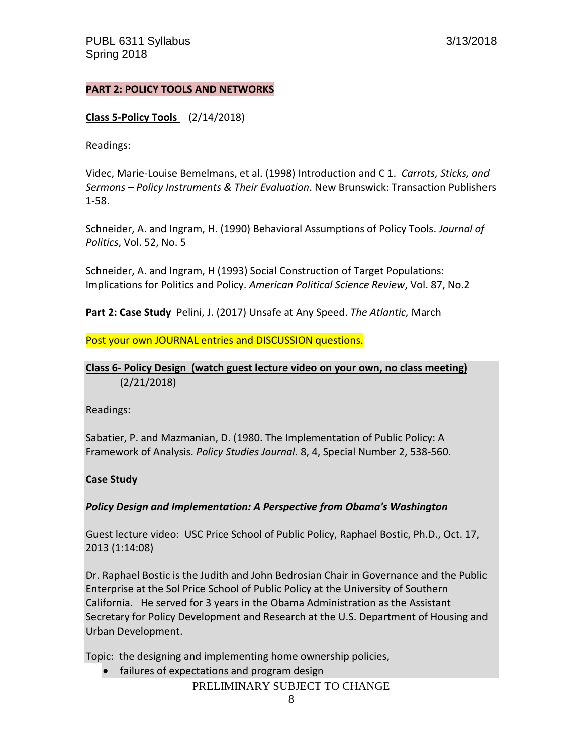### **PART 2: POLICY TOOLS AND NETWORKS**

#### **Class 5-Policy Tools** (2/14/2018)

Readings:

Videc, Marie-Louise Bemelmans, et al. (1998) Introduction and C 1. *Carrots, Sticks, and Sermons – Policy Instruments & Their Evaluation*. New Brunswick: Transaction Publishers 1-58.

Schneider, A. and Ingram, H. (1990) Behavioral Assumptions of Policy Tools. *Journal of Politics*, Vol. 52, No. 5

Schneider, A. and Ingram, H (1993) Social Construction of Target Populations: Implications for Politics and Policy. *American Political Science Review*, Vol. 87, No.2

**Part 2: Case Study** Pelini, J. (2017) Unsafe at Any Speed. *The Atlantic,* March

Post your own JOURNAL entries and DISCUSSION questions.

# **Class 6- Policy Design (watch guest lecture video on your own, no class meeting)** (2/21/2018)

Readings:

Sabatier, P. and Mazmanian, D. (1980. The Implementation of Public Policy: A Framework of Analysis. *Policy Studies Journal*. 8, 4, Special Number 2, 538-560.

#### **Case Study**

### *Policy Design and Implementation: A Perspective from Obama's Washington*

Guest lecture video: USC Price School of Public Policy, Raphael Bostic, Ph.D., Oct. 17, 2013 (1:14:08)

Dr. Raphael Bostic is the Judith and John Bedrosian Chair in Governance and the Public Enterprise at the Sol Price School of Public Policy at the University of Southern California. He served for 3 years in the Obama Administration as the Assistant Secretary for Policy Development and Research at the U.S. Department of Housing and Urban Development.

Topic: the designing and implementing home ownership policies,

PRELIMINARY SUBJECT TO CHANGE • failures of expectations and program design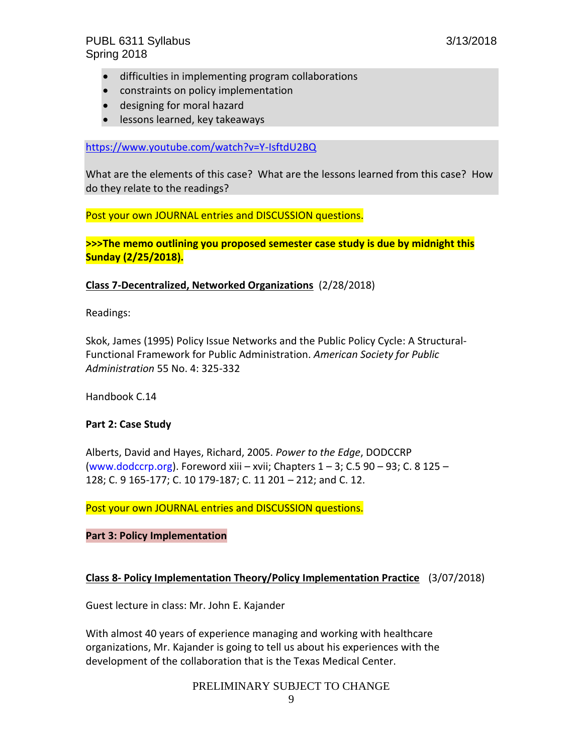- difficulties in implementing program collaborations
- constraints on policy implementation
- designing for moral hazard
- **.** lessons learned, key takeaways

<https://www.youtube.com/watch?v=Y-IsftdU2BQ>

What are the elements of this case? What are the lessons learned from this case? How do they relate to the readings?

Post your own JOURNAL entries and DISCUSSION questions.

**>>>The memo outlining you proposed semester case study is due by midnight this Sunday (2/25/2018).**

#### **Class 7-Decentralized, Networked Organizations** (2/28/2018)

Readings:

Skok, James (1995) Policy Issue Networks and the Public Policy Cycle: A Structural-Functional Framework for Public Administration. *American Society for Public Administration* 55 No. 4: 325-332

Handbook C.14

#### **Part 2: Case Study**

Alberts, David and Hayes, Richard, 2005. *Power to the Edge*, DODCCRP [\(www.dodccrp.org\)](http://www.dodccrp.org/). Foreword xiii – xvii; Chapters  $1 - 3$ ; C.5 90 – 93; C. 8 125 – 128; C. 9 165-177; C. 10 179-187; C. 11 201 – 212; and C. 12.

Post your own JOURNAL entries and DISCUSSION questions.

### **Part 3: Policy Implementation**

### **Class 8- Policy Implementation Theory/Policy Implementation Practice** (3/07/2018)

Guest lecture in class: Mr. John E. Kajander

With almost 40 years of experience managing and working with healthcare organizations, Mr. Kajander is going to tell us about his experiences with the development of the collaboration that is the Texas Medical Center.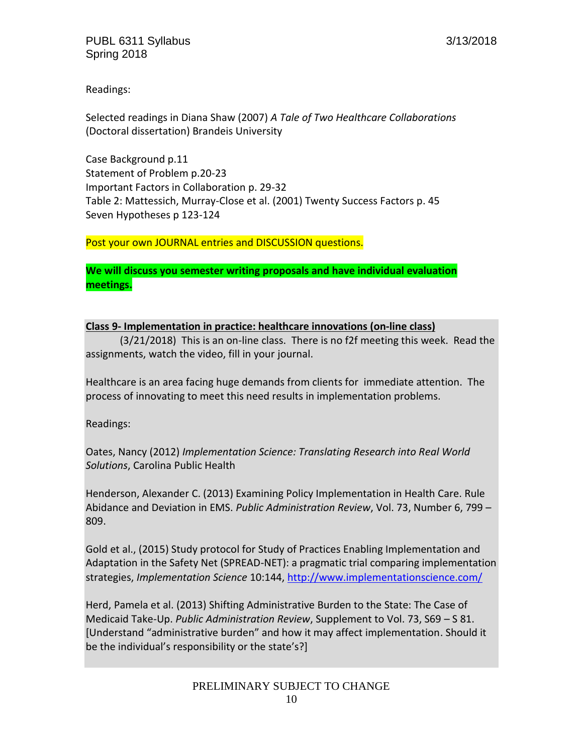Readings:

Selected readings in Diana Shaw (2007) *A Tale of Two Healthcare Collaborations* (Doctoral dissertation) Brandeis University

Case Background p.11 Statement of Problem p.20-23 Important Factors in Collaboration p. 29-32 Table 2: Mattessich, Murray-Close et al. (2001) Twenty Success Factors p. 45 Seven Hypotheses p 123-124

Post your own JOURNAL entries and DISCUSSION questions.

**We will discuss you semester writing proposals and have individual evaluation meetings.**

### **Class 9- Implementation in practice: healthcare innovations (on-line class)**

(3/21/2018) This is an on-line class. There is no f2f meeting this week. Read the assignments, watch the video, fill in your journal.

Healthcare is an area facing huge demands from clients for immediate attention. The process of innovating to meet this need results in implementation problems.

Readings:

Oates, Nancy (2012) *Implementation Science: Translating Research into Real World Solutions*, Carolina Public Health

Henderson, Alexander C. (2013) Examining Policy Implementation in Health Care. Rule Abidance and Deviation in EMS. *Public Administration Review*, Vol. 73, Number 6, 799 – 809.

Gold et al., (2015) Study protocol for Study of Practices Enabling Implementation and Adaptation in the Safety Net (SPREAD-NET): a pragmatic trial comparing implementation strategies, *Implementation Science* 10:144,<http://www.implementationscience.com/>

Herd, Pamela et al. (2013) Shifting Administrative Burden to the State: The Case of Medicaid Take-Up. *Public Administration Review*, Supplement to Vol. 73, S69 – S 81. [Understand "administrative burden" and how it may affect implementation. Should it be the individual's responsibility or the state's?]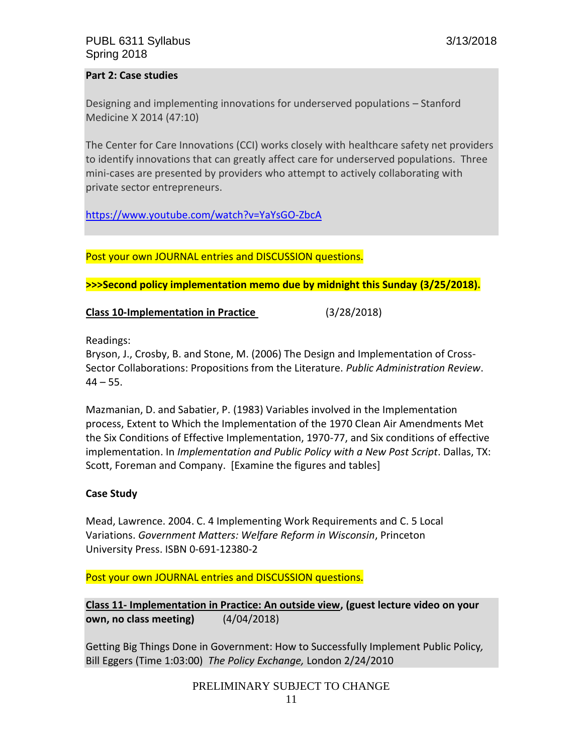### **Part 2: Case studies**

Designing and implementing innovations for underserved populations – Stanford Medicine X 2014 (47:10)

The Center for Care Innovations (CCI) works closely with healthcare safety net providers to identify innovations that can greatly affect care for underserved populations. Three mini-cases are presented by providers who attempt to actively collaborating with private sector entrepreneurs.

<https://www.youtube.com/watch?v=YaYsGO-ZbcA>

Post your own JOURNAL entries and DISCUSSION questions.

**>>>Second policy implementation memo due by midnight this Sunday (3/25/2018).**

**Class 10-Implementation in Practice** (3/28/2018)

Readings:

Bryson, J., Crosby, B. and Stone, M. (2006) The Design and Implementation of Cross-Sector Collaborations: Propositions from the Literature. *Public Administration Review*.  $44 - 55.$ 

Mazmanian, D. and Sabatier, P. (1983) Variables involved in the Implementation process, Extent to Which the Implementation of the 1970 Clean Air Amendments Met the Six Conditions of Effective Implementation, 1970-77, and Six conditions of effective implementation. In *Implementation and Public Policy with a New Post Script*. Dallas, TX: Scott, Foreman and Company. [Examine the figures and tables]

### **Case Study**

Mead, Lawrence. 2004. C. 4 Implementing Work Requirements and C. 5 Local Variations. *Government Matters: Welfare Reform in Wisconsin*, Princeton University Press. ISBN 0-691-12380-2

Post your own JOURNAL entries and DISCUSSION questions.

**Class 11- Implementation in Practice: An outside view, (guest lecture video on your own, no class meeting)** (4/04/2018)

Getting Big Things Done in Government: How to Successfully Implement Public Policy*,*  Bill Eggers (Time 1:03:00) *The Policy Exchange,* London 2/24/2010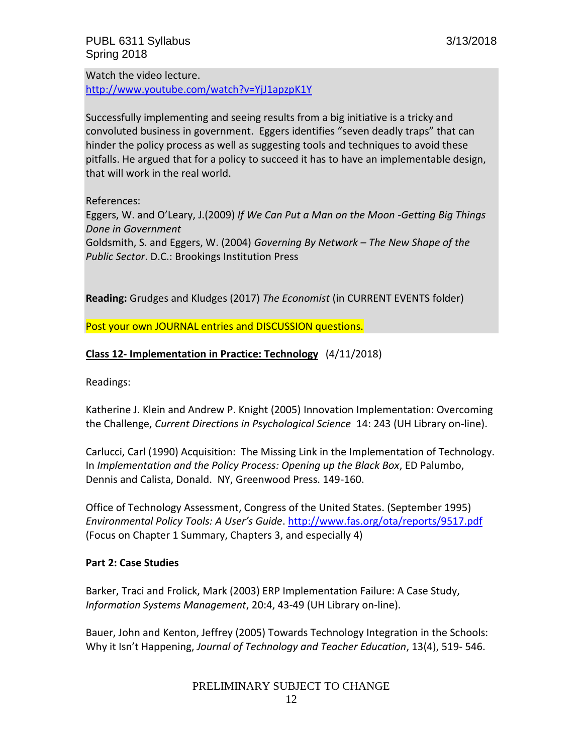Watch the video lecture. <http://www.youtube.com/watch?v=YjJ1apzpK1Y>

Successfully implementing and seeing results from a big initiative is a tricky and convoluted business in government. Eggers identifies "seven deadly traps" that can hinder the policy process as well as suggesting tools and techniques to avoid these pitfalls. He argued that for a policy to succeed it has to have an implementable design, that will work in the real world.

References:

Eggers, W. and O'Leary, J.(2009) *If We Can Put a Man on the Moon -Getting Big Things Done in Government* 

Goldsmith, S. and Eggers, W. (2004) *Governing By Network – The New Shape of the Public Sector*. D.C.: Brookings Institution Press

**Reading:** Grudges and Kludges (2017) *The Economist* (in CURRENT EVENTS folder)

Post your own JOURNAL entries and DISCUSSION questions.

# **Class 12- Implementation in Practice: Technology** (4/11/2018)

Readings:

Katherine J. Klein and Andrew P. Knight (2005) Innovation Implementation: Overcoming the Challenge, *Current Directions in Psychological Science* 14: 243 (UH Library on-line).

Carlucci, Carl (1990) Acquisition: The Missing Link in the Implementation of Technology. In *Implementation and the Policy Process: Opening up the Black Box*, ED Palumbo, Dennis and Calista, Donald. NY, Greenwood Press. 149-160.

Office of Technology Assessment, Congress of the United States. (September 1995) *Environmental Policy Tools: A User's Guide*.<http://www.fas.org/ota/reports/9517.pdf> (Focus on Chapter 1 Summary, Chapters 3, and especially 4)

### **Part 2: Case Studies**

Barker, Traci and Frolick, Mark (2003) ERP Implementation Failure: A Case Study, *Information Systems Management*, 20:4, 43-49 (UH Library on-line).

Bauer, John and Kenton, Jeffrey (2005) Towards Technology Integration in the Schools: Why it Isn't Happening, *Journal of Technology and Teacher Education*, 13(4), 519- 546.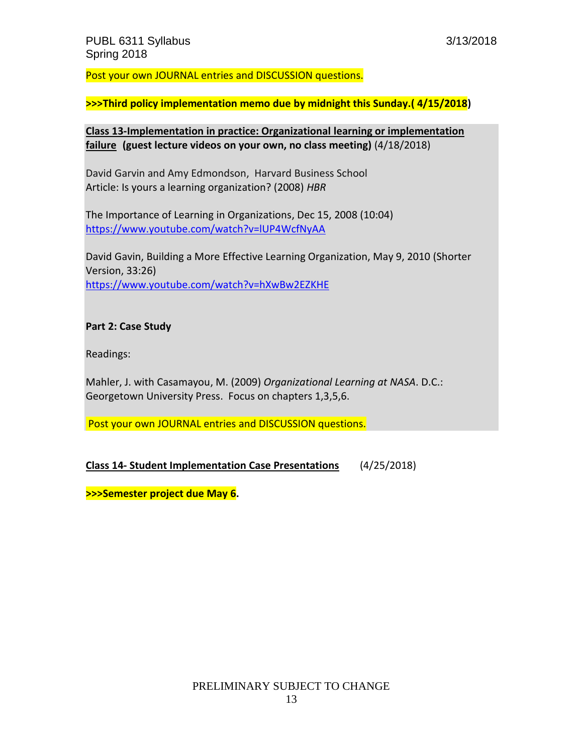Post your own JOURNAL entries and DISCUSSION questions.

**>>>Third policy implementation memo due by midnight this Sunday.( 4/15/2018)**

**Class 13-Implementation in practice: Organizational learning or implementation failure (guest lecture videos on your own, no class meeting)** (4/18/2018)

David Garvin and Amy Edmondson, Harvard Business School Article: Is yours a learning organization? (2008) *HBR*

The Importance of Learning in Organizations, Dec 15, 2008 (10:04) <https://www.youtube.com/watch?v=lUP4WcfNyAA>

David Gavin, Building a More Effective Learning Organization, May 9, 2010 (Shorter Version, 33:26) <https://www.youtube.com/watch?v=hXwBw2EZKHE>

#### **Part 2: Case Study**

Readings:

Mahler, J. with Casamayou, M. (2009) *Organizational Learning at NASA*. D.C.: Georgetown University Press. Focus on chapters 1,3,5,6.

Post your own JOURNAL entries and DISCUSSION questions.

**Class 14- Student Implementation Case Presentations** (4/25/2018)

**>>>Semester project due May 6.**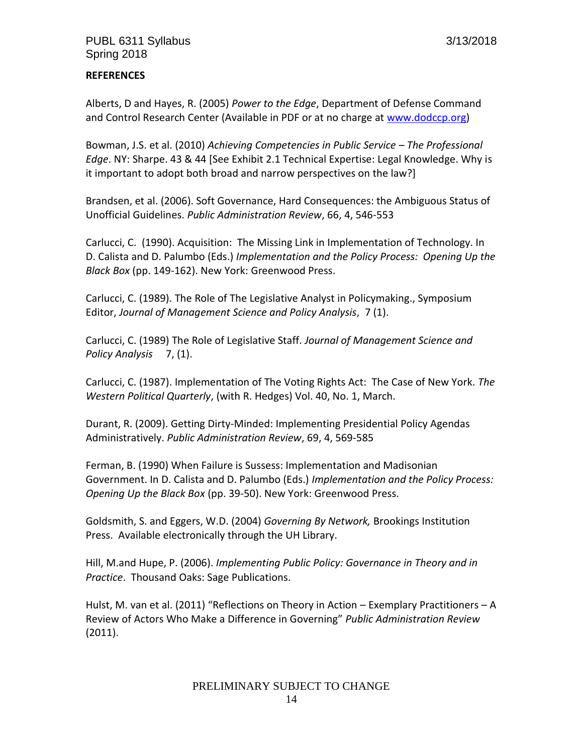# **REFERENCES**

Alberts, D and Hayes, R. (2005) *Power to the Edge*, Department of Defense Command and Control Research Center (Available in PDF or at no charge at [www.dodccp.org\)](http://www.dodccp.org/)

Bowman, J.S. et al. (2010) *Achieving Competencies in Public Service – The Professional Edge*. NY: Sharpe. 43 & 44 [See Exhibit 2.1 Technical Expertise: Legal Knowledge. Why is it important to adopt both broad and narrow perspectives on the law?]

Brandsen, et al. (2006). Soft Governance, Hard Consequences: the Ambiguous Status of Unofficial Guidelines. *Public Administration Review*, 66, 4, 546-553

Carlucci, C. (1990). Acquisition: The Missing Link in Implementation of Technology. In D. Calista and D. Palumbo (Eds.) *Implementation and the Policy Process: Opening Up the Black Box* (pp. 149-162). New York: Greenwood Press.

Carlucci, C. (1989). The Role of The Legislative Analyst in Policymaking., Symposium Editor, *Journal of Management Science and Policy Analysis*, 7 (1).

Carlucci, C. (1989) The Role of Legislative Staff. *Journal of Management Science and Policy Analysis* 7, (1).

Carlucci, C. (1987). Implementation of The Voting Rights Act: The Case of New York. *The Western Political Quarterly*, (with R. Hedges) Vol. 40, No. 1, March.

Durant, R. (2009). Getting Dirty-Minded: Implementing Presidential Policy Agendas Administratively. *Public Administration Review*, 69, 4, 569-585

Ferman, B. (1990) When Failure is Sussess: Implementation and Madisonian Government. In D. Calista and D. Palumbo (Eds.) *Implementation and the Policy Process: Opening Up the Black Box* (pp. 39-50). New York: Greenwood Press.

Goldsmith, S. and Eggers, W.D. (2004) *Governing By Network,* Brookings Institution Press. Available electronically through the UH Library.

Hill, M.and Hupe, P. (2006). *Implementing Public Policy: Governance in Theory and in Practice*. Thousand Oaks: Sage Publications.

Hulst, M. van et al. (2011) "Reflections on Theory in Action – Exemplary Practitioners – A Review of Actors Who Make a Difference in Governing" *Public Administration Review* (2011).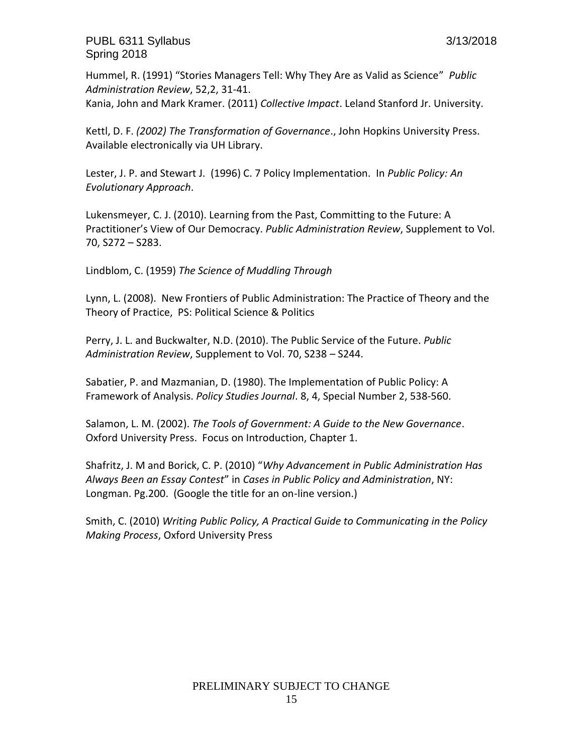PUBL 6311 Syllabus 3/13/2018 Spring 2018

Hummel, R. (1991) "Stories Managers Tell: Why They Are as Valid as Science" *Public Administration Review*, 52,2, 31-41. Kania, John and Mark Kramer. (2011) *Collective Impact*. Leland Stanford Jr. University.

Kettl, D. F. *(2002) The Transformation of Governance*., John Hopkins University Press. Available electronically via UH Library.

Lester, J. P. and Stewart J. (1996) C. 7 Policy Implementation. In *Public Policy: An Evolutionary Approach*.

Lukensmeyer, C. J. (2010). Learning from the Past, Committing to the Future: A Practitioner's View of Our Democracy. *Public Administration Review*, Supplement to Vol. 70, S272 – S283.

Lindblom, C. (1959) *The Science of Muddling Through*

Lynn, L. (2008). New Frontiers of Public Administration: The Practice of Theory and the Theory of Practice, PS: Political Science & Politics

Perry, J. L. and Buckwalter, N.D. (2010). The Public Service of the Future. *Public Administration Review*, Supplement to Vol. 70, S238 – S244.

Sabatier, P. and Mazmanian, D. (1980). The Implementation of Public Policy: A Framework of Analysis. *Policy Studies Journal*. 8, 4, Special Number 2, 538-560.

Salamon, L. M. (2002). *The Tools of Government: A Guide to the New Governance*. Oxford University Press. Focus on Introduction, Chapter 1.

Shafritz, J. M and Borick, C. P. (2010) "*Why Advancement in Public Administration Has Always Been an Essay Contest*" in *Cases in Public Policy and Administration*, NY: Longman. Pg.200. (Google the title for an on-line version.)

Smith, C. (2010) *Writing Public Policy, A Practical Guide to Communicating in the Policy Making Process*, Oxford University Press